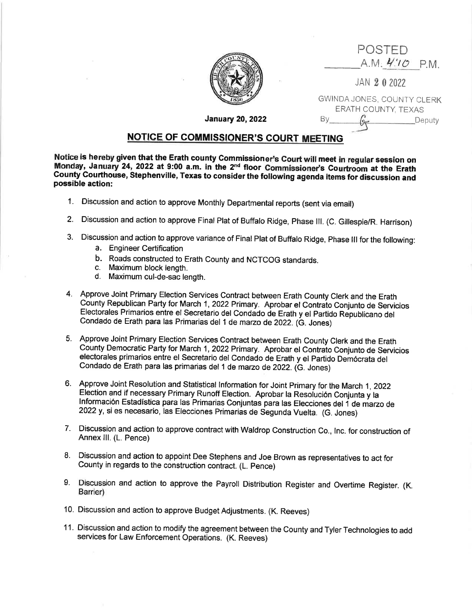| POSTED<br>A.M. 4:10 P.M.                          |
|---------------------------------------------------|
| JAN 202022                                        |
| GWINDA JONES, COUNTY CLERK<br>ERATH COUNTY, TEXAS |

Deputy

January 20,2022

## NOTICE OF COMMISSIONER'S COURT MEETING

Notice is hereby given that the Erath county Commissioner's Court will meet in regular session on<br>Monday, January 24, 2022 at 9:00 a.m. in the 2<sup>nd</sup> floor Commissioner's Courtroom at the Erath Monday, 23, 2022 at 9:00 a.m. in the 2nd floor Commission County County Courthouse, Stephenville, Texas to consider the following agenda items for discussion and possible action:

- 1. Discussion and action to approve Monthly Departmental reports (sent via email)
- 2. Discussion and action to approve Final Plat of Buffalo Ridge, Phase lll. (C. Gillespie/R. Harrison)
- 3. Discussion and action to approve variance of Final Plat of Buffalo Ridge, phase lll for the following:
	- a. Engineer Certification
	- b. Roads constructed to Erath County and NCTCOG standards.<br>c. Maximum block length.
	-
	- d. Maximum cul-de-sac length.
- 4. Approve Joint Primary Election Services Contract between Erath County Clerk and the Erath Gounty Republican Party for March 1,2022 Primary. Aprobar el Contraio Conjunto de Servicios Electorales Primarios entre el Secretario del Condado de Erath y el partido Republicano del Condado de Erath para las Primarias del 1 de marzo de 2022. (G. Jones)
- 5. Approve Joint Primary Election Services Contract between Erath County Clerk and the Erath County Democratic Party for March 1,2022 Primary. Aprobar el Contrato Conjunto de Servicios electorales primarios entre el Secretario del Condado de Erath y el Partido Demócrata del Condado de Erath para las primarias del 1 de marzo de 2022. (G. Jones)
- 6. Approve Joint Resolution and Statistical Information for Joint Primary for the March 1, 2022 Election and if necessary Primary Runoff Election. Aprobar la Resoíución Conjunta y la Información Estadística para las Primarias Conjuntas para las Elecciones del 1 de marzo de 2022 y, si es necesario, las Elecciones Primarias de Segunda Vuelta. (G. Jones)
- <sup>7</sup> Discussion and action to approve contract with Waldrop Construction Co., lnc. for construction of Annex III. (L. Pence)
- 8. Discussion and action to appoint Dee Stephens and Joe Brown as representatives to act for County in regards to the construction contract. (L. pence)
- 9. Discussion and action to approve the Payroll Distribution Register and Overtime Register. (K. Barrier)
- 10. Discussion and action to approve Budget Adjustments. (K. Reeves)
- 11. Discussion and action to modify the agreement between the County and Tyler Technologies to add services for Law Enforcement Operations. (K. Reeves)